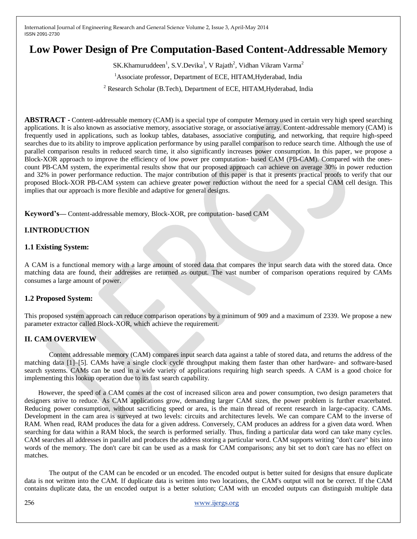# **Low Power Design of Pre Computation-Based Content-Addressable Memory**

SK.Khamuruddeen<sup>1</sup>, S.V.Devika<sup>1</sup>, V Rajath<sup>2</sup>, Vidhan Vikram Varma<sup>2</sup>

<sup>1</sup>Associate professor, Department of ECE, HITAM, Hyderabad, India

<sup>2</sup> Research Scholar (B.Tech), Department of ECE, HITAM, Hyderabad, India

**ABSTRACT -** Content-addressable memory (CAM) is a special type of computer Memory used in certain very high speed searching applications. It is also known as associative memory, associative storage, or associative array. Content-addressable memory (CAM) is frequently used in applications, such as lookup tables, databases, associative computing, and networking, that require high-speed searches due to its ability to improve application performance by using parallel comparison to reduce search time. Although the use of parallel comparison results in reduced search time, it also significantly increases power consumption. In this paper, we propose a Block-XOR approach to improve the efficiency of low power pre computation- based CAM (PB-CAM). Compared with the onescount PB-CAM system, the experimental results show that our proposed approach can achieve on average 30% in power reduction and 32% in power performance reduction. The major contribution of this paper is that it presents practical proofs to verify that our proposed Block-XOR PB-CAM system can achieve greater power reduction without the need for a special CAM cell design. This implies that our approach is more flexible and adaptive for general designs.

**Keyword's—** Content-addressable memory, Block-XOR, pre computation- based CAM

# **I.INTRODUCTION**

# **1.1 Existing System:**

A CAM is a functional memory with a large amount of stored data that compares the input search data with the stored data. Once matching data are found, their addresses are returned as output. The vast number of comparison operations required by CAMs consumes a large amount of power.

# **1.2 Proposed System:**

This proposed system approach can reduce comparison operations by a minimum of 909 and a maximum of 2339. We propose a new parameter extractor called Block-XOR, which achieve the requirement.

# **II. CAM OVERVIEW**

Content addressable memory (CAM) compares input search data against a table of stored data, and returns the address of the matching data [1]–[5]. CAMs have a single clock cycle throughput making them faster than other hardware- and software-based search systems. CAMs can be used in a wide variety of applications requiring high search speeds. A CAM is a good choice for implementing this lookup operation due to its fast search capability.

 However, the speed of a CAM comes at the cost of increased silicon area and power consumption, two design parameters that designers strive to reduce. As CAM applications grow, demanding larger CAM sizes, the power problem is further exacerbated. Reducing power consumption, without sacrificing speed or area, is the main thread of recent research in large-capacity. CAMs. Development in the cam area is surveyed at two levels: circuits and architectures levels. We can compare CAM to the inverse of RAM. When read, RAM produces the data for a given address. Conversely, CAM produces an address for a given data word. When searching for data within a RAM block, the search is performed serially. Thus, finding a particular data word can take many cycles. CAM searches all addresses in parallel and produces the address storing a particular word. CAM supports writing "don't care" bits into words of the memory. The don't care bit can be used as a mask for CAM comparisons; any bit set to don't care has no effect on matches.

The output of the CAM can be encoded or un encoded. The encoded output is better suited for designs that ensure duplicate data is not written into the CAM. If duplicate data is written into two locations, the CAM's output will not be correct. If the CAM contains duplicate data, the un encoded output is a better solution; CAM with un encoded outputs can distinguish multiple data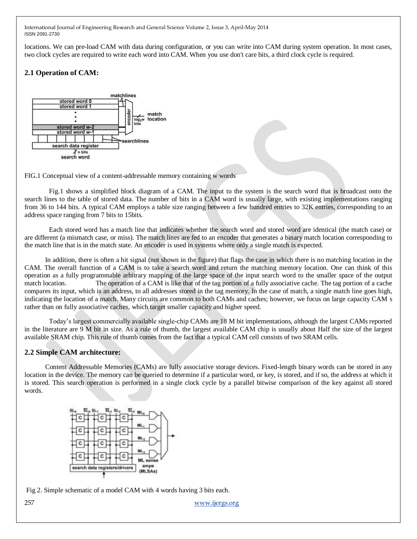locations. We can pre-load CAM with data during configuration, or you can write into CAM during system operation. In most cases, two clock cycles are required to write each word into CAM. When you use don't care bits, a third clock cycle is required.

# **2.1 Operation of CAM:**



FIG.1 Conceptual view of a content-addressable memory containing w words

Fig.1 shows a simplified block diagram of a CAM. The input to the system is the search word that is broadcast onto the search lines to the table of stored data. The number of bits in a CAM word is usually large, with existing implementations ranging from 36 to 144 bits. A typical CAM employs a table size ranging between a few hundred entries to 32K entries, corresponding to an address space ranging from 7 bits to 15bits.

Each stored word has a match line that indicates whether the search word and stored word are identical (the match case) or are different (a mismatch case, or miss). The match lines are fed to an encoder that generates a binary match location corresponding to the match line that is in the match state. An encoder is used in systems where only a single match is expected.

 In addition, there is often a hit signal (not shown in the figure) that flags the case in which there is no matching location in the CAM. The overall function of a CAM is to take a search word and return the matching memory location. One can think of this operation as a fully programmable arbitrary mapping of the large space of the input search word to the smaller space of the output match location. The operation of a CAM is like that of the tag portion of a fully associative cache. The tag portion of a cache compares its input, which is an address, to all addresses stored in the tag memory. In the case of match, a single match line goes high, indicating the location of a match. Many circuits are common to both CAMs and caches; however, we focus on large capacity CAM s rather than on fully associative caches, which target smaller capacity and higher speed.

Today"s largest commercially available single-chip CAMs are 18 M bit implementations, although the largest CAMs reported in the literature are 9 M bit in size. As a rule of thumb, the largest available CAM chip is usually about Half the size of the largest available SRAM chip. This rule of thumb comes from the fact that a typical CAM cell consists of two SRAM cells.

# **2.2 Simple CAM architecture:**

 Content Addressable Memories (CAMs) are fully associative storage devices. Fixed-length binary words can be stored in any location in the device. The memory can be queried to determine if a particular word, or key, is stored, and if so, the address at which it is stored. This search operation is performed in a single clock cycle by a parallel bitwise comparison of the key against all stored words.



Fig 2. Simple schematic of a model CAM with 4 words having 3 bits each.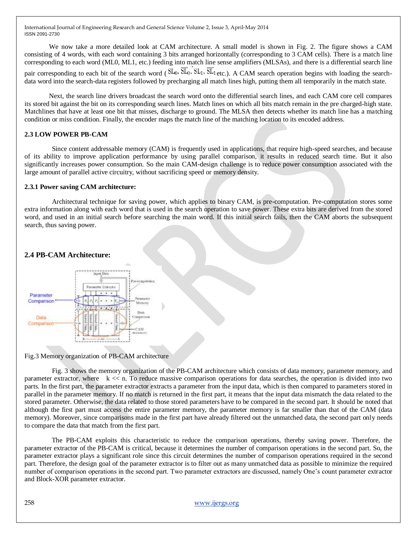We now take a more detailed look at CAM architecture. A small model is shown in Fig. 2. The figure shows a CAM consisting of 4 words, with each word containing 3 bits arranged horizontally (corresponding to 3 CAM cells). There is a match line corresponding to each word (ML0, ML1, etc.) feeding into match line sense amplifiers (MLSAs), and there is a differential search line

pair corresponding to each bit of the search word ( $SL_0$ ,  $\overline{SL}_0$ ,  $SL_1$ ,  $\overline{SL}_1$  etc.). A CAM search operation begins with loading the searchdata word into the search-data registers followed by precharging all match lines high, putting them all temporarily in the match state.

Next, the search line drivers broadcast the search word onto the differential search lines, and each CAM core cell compares its stored bit against the bit on its corresponding search lines. Match lines on which all bits match remain in the pre charged-high state. Matchlines that have at least one bit that misses, discharge to ground. The MLSA then detects whether its match line has a matching condition or miss condition. Finally, the encoder maps the match line of the matching location to its encoded address.

# **2.3 LOW POWER PB-CAM**

 Since content addressable memory (CAM) is frequently used in applications, that require high-speed searches, and because of its ability to improve application performance by using parallel comparison, it results in reduced search time. But it also significantly increases power consumption. So the main CAM-design challenge is to reduce power consumption associated with the large amount of parallel active circuitry, without sacrificing speed or memory density.

### **2.3.1 Power saving CAM architecture:**

 Architectural technique for saving power, which applies to binary CAM, is pre-computation. Pre-computation stores some extra information along with each word that is used in the search operation to save power. These extra bits are derived from the stored word, and used in an initial search before searching the main word. If this initial search fails, then the CAM aborts the subsequent search, thus saving power.

# **2.4 PB-CAM Architecture:**



Fig.3 Memory organization of PB-CAM architecture

 Fig. 3 shows the memory organization of the PB-CAM architecture which consists of data memory, parameter memory, and parameter extractor, where k << n. To reduce massive comparison operations for data searches, the operation is divided into two parts. In the first part, the parameter extractor extracts a parameter from the input data, which is then compared to parameters stored in parallel in the parameter memory. If no match is returned in the first part, it means that the input data mismatch the data related to the stored parameter. Otherwise, the data related to those stored parameters have to be compared in the second part. It should be noted that although the first part must access the entire parameter memory, the parameter memory is far smaller than that of the CAM (data memory). Moreover, since comparisons made in the first part have already filtered out the unmatched data, the second part only needs to compare the data that match from the first part.

 The PB-CAM exploits this characteristic to reduce the comparison operations, thereby saving power. Therefore, the parameter extractor of the PB-CAM is critical, because it determines the number of comparison operations in the second part. So, the parameter extractor plays a significant role since this circuit determines the number of comparison operations required in the second part. Therefore, the design goal of the parameter extractor is to filter out as many unmatched data as possible to minimize the required number of comparison operations in the second part. Two parameter extractors are discussed, namely One"s count parameter extractor and Block-XOR parameter extractor.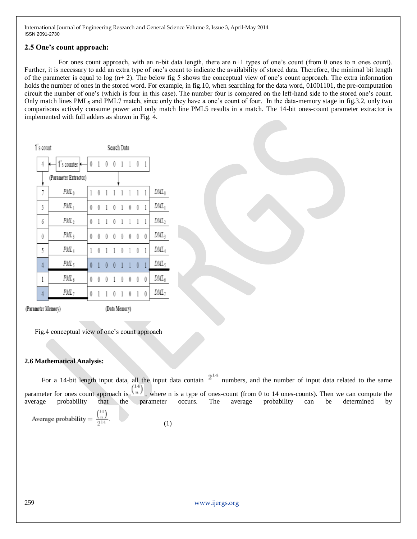### **2.5 One's count approach:**

For ones count approach, with an n-bit data length, there are n+1 types of one's count (from 0 ones to n ones count). Further, it is necessary to add an extra type of one's count to indicate the availability of stored data. Therefore, the minimal bit length of the parameter is equal to log  $(n+2)$ . The below fig 5 shows the conceptual view of one's count approach. The extra information holds the number of ones in the stored word. For example, in fig.10, when searching for the data word, 01001101, the pre-computation circuit the number of one"s (which is four in this case). The number four is compared on the left-hand side to the stored one"s count. Only match lines PML<sup>5</sup> and PML7 match, since only they have a one"s count of four. In the data-memory stage in fig.3.2, only two comparisons actively consume power and only match line PML5 results in a match. The 14-bit ones-count parameter extractor is implemented with full adders as shown in Fig. 4.

|         | Search Data    |     |          |                     |              |                      |                |              |   |                       | 1's count      |
|---------|----------------|-----|----------|---------------------|--------------|----------------------|----------------|--------------|---|-----------------------|----------------|
|         |                |     |          |                     |              |                      |                | 01001101     |   | 1's counter           | 4              |
|         |                |     |          |                     |              |                      |                |              |   | (Parameter Extractor) |                |
| $DML_0$ |                |     |          | 111                 |              | $1\quad1\quad1$      |                | 10           |   | $PML_0$               | 7              |
| $DML_1$ | $\overline{1}$ |     | -0       | $^{\circ}$          | $\mathbf{1}$ |                      | $1 \quad 0$    | $^{0}$       | 0 | $PML_1$               | 3              |
| $DML_2$ | 1              |     | 1        | 1                   | $\,1\,$      | 0                    | 1              | 1            | 0 | $PML_2$               | 6              |
| $DML_3$ |                | - 0 | 0        | $\theta$            | 0            | 0                    | 0              | 0            | 0 | PML;                  | 0              |
| $DML_4$ | $\overline{1}$ |     | $\theta$ | $\,1$               |              | $1 \quad 0$          | $\overline{1}$ | $\mathbf 0$  | 1 | PML 4                 | 5              |
| DML,    |                |     | 0        | $\ddot{\textbf{r}}$ | $\mathbf{1}$ | $\ddot{\phantom{0}}$ | $\theta$       | $\mathbf{1}$ | 0 | PML <sub>5</sub>      | $\overline{4}$ |
| $DML_6$ |                | - 0 | 0        | 0                   | 0            | 1                    | 0              | 0            | 0 | $PML_6$               | 1              |
| DML,    | 0              |     | 1        | 0                   | 1            | 0                    | 1              |              | 0 | $PML_7$               | 4              |
|         |                |     |          |                     |              |                      |                |              |   |                       |                |

(Parameter Memory)

(Data Memory)

Fig.4 conceptual view of one's count approach

#### **2.6 Mathematical Analysis:**

For a 14-bit length input data, all the input data contain  $2^{14}$  numbers, and the number of input data related to the same parameter for ones count approach is  $\binom{n}{k}$ , where n is a type of ones-count (from 0 to 14 ones-counts). Then we can compute the average probability that the parameter occurs. The average probability can be determined by  $(14)$ 

Average probability = 
$$
\frac{\ln I}{2^{14}}.
$$
 (1)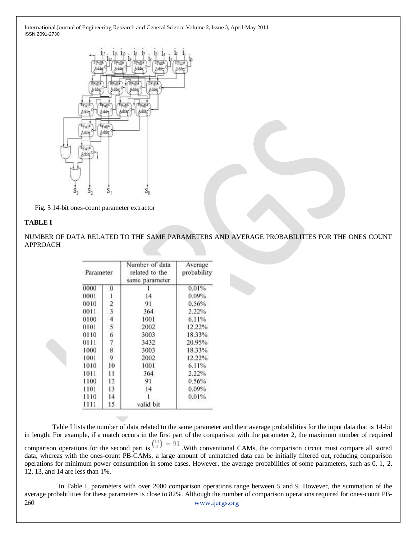

Fig. 5 14-bit ones-count parameter extractor

#### **TABLE I**

NUMBER OF DATA RELATED TO THE SAME PARAMETERS AND AVERAGE PROBABILITIES FOR THE ONES COUNT APPROACH

| Parameter |    | Number of data<br>related to the<br>same parameter |        |  |  |
|-----------|----|----------------------------------------------------|--------|--|--|
| 0000      | 0  |                                                    | 0.01%  |  |  |
| 0001      |    | 14                                                 | 0.09%  |  |  |
| 0010      | 2  | 91                                                 | 0.56%  |  |  |
| 0011      | 3  | 364                                                | 2.22%  |  |  |
| 0100      | 4  | 1001                                               | 6.11%  |  |  |
| 0101      | 5  | 2002                                               | 12.22% |  |  |
| 0110      | 6  | 3003                                               | 18.33% |  |  |
| 0111      | 7  | 3432                                               | 20.95% |  |  |
| 1000      | 8  | 3003                                               | 18.33% |  |  |
| 1001      | 9  | 2002                                               | 12.22% |  |  |
| 1010      | 10 | 1001                                               | 6.11%  |  |  |
| 1011      | 11 | 364                                                | 2.22%  |  |  |
| 1100      | 12 | 91                                                 | 0.56%  |  |  |
| 1101      | 13 | 14                                                 | 0.09%  |  |  |
| 1110      | 14 |                                                    | 0.01%  |  |  |
| 1111      | 15 | valid bit                                          |        |  |  |

 Table I lists the number of data related to the same parameter and their average probabilities for the input data that is 14-bit in length. For example, if a match occurs in the first part of the comparison with the parameter 2, the maximum number of required comparison operations for the second part is  $\binom{14}{2} = 91$ . With conventional CAMs, the comparison circuit must compare all stored data, whereas with the ones-count PB-CAMs, a large amount of unmatched data can be initially filtered out, reducing comparison operations for minimum power consumption in some cases. However, the average probabilities of some parameters, such as 0, 1, 2, 12, 13, and 14 are less than 1%.

260 [www.ijergs.org](http://www.ijergs.org/) In Table I, parameters with over 2000 comparison operations range between 5 and 9. However, the summation of the average probabilities for these parameters is close to 82%. Although the number of comparison operations required for ones-count PB-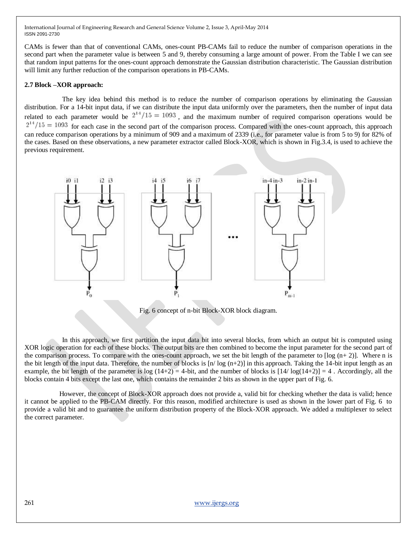CAMs is fewer than that of conventional CAMs, ones-count PB-CAMs fail to reduce the number of comparison operations in the second part when the parameter value is between 5 and 9, thereby consuming a large amount of power. From the Table I we can see that random input patterns for the ones-count approach demonstrate the Gaussian distribution characteristic. The Gaussian distribution will limit any further reduction of the comparison operations in PB-CAMs.

#### **2.7 Block –XOR approach:**

 The key idea behind this method is to reduce the number of comparison operations by eliminating the Gaussian distribution. For a 14-bit input data, if we can distribute the input data uniformly over the parameters, then the number of input data related to each parameter would be  $2^{14}/15 = 1093$ , and the maximum number of required comparison operations would be  $2^{14}/15 = 1093$  for each case in the second part of the comparison process. Compared with the ones-count approach, this approach can reduce comparison operations by a minimum of 909 and a maximum of 2339 (i.e., for parameter value is from 5 to 9) for 82% of the cases. Based on these observations, a new parameter extractor called Block-XOR, which is shown in Fig.3.4, is used to achieve the previous requirement.



Fig. 6 concept of n-bit Block-XOR block diagram.

 In this approach, we first partition the input data bit into several blocks, from which an output bit is computed using XOR logic operation for each of these blocks. The output bits are then combined to become the input parameter for the second part of the comparison process. To compare with the ones-count approach, we set the bit length of the parameter to  $\lceil \log (n+2) \rceil$ . Where n is the bit length of the input data. Therefore, the number of blocks is [n/ log (n+2)] in this approach. Taking the 14-bit input length as an example, the bit length of the parameter is log  $(14+2) = 4$ -bit, and the number of blocks is  $[14/\log(14+2)] = 4$ . Accordingly, all the blocks contain 4 bits except the last one, which contains the remainder 2 bits as shown in the upper part of Fig. 6.

 However, the concept of Block-XOR approach does not provide a, valid bit for checking whether the data is valid; hence it cannot be applied to the PB-CAM directly. For this reason, modified architecture is used as shown in the lower part of Fig. 6 to provide a valid bit and to guarantee the uniform distribution property of the Block-XOR approach. We added a multiplexer to select the correct parameter.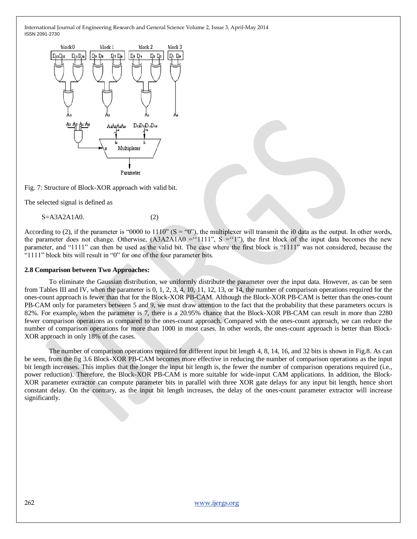

Fig. 7: Structure of Block-XOR approach with valid bit.

The selected signal is defined as

 $S = A3A2A1A0.$  (2)

According to (2), if the parameter is "0000 to  $1110$ " (S = "0"), the multiplexer will transmit the i0 data as the output. In other words, the parameter does not change. Otherwise,  $(A3A2A1A0 = '1111'', S = '1'')$ , the first block of the input data becomes the new parameter, and "1111" can then be used as the valid bit. The case where the first block is "1111" was not considered, because the "1111" block bits will result in "0" for one of the four parameter bits.

#### **2.8 Comparison between Two Approaches:**

To eliminate the Gaussian distribution, we uniformly distribute the parameter over the input data. However, as can be seen from Tables III and IV, when the parameter is 0, 1, 2, 3, 4, 10, 11, 12, 13, or 14, the number of comparison operations required for the ones-count approach is fewer than that for the Block-XOR PB-CAM. Although the Block-XOR PB-CAM is better than the ones-count PB-CAM only for parameters between 5 and 9, we must draw attention to the fact that the probability that these parameters occurs is 82%. For example, when the parameter is 7, there is a 20.95% chance that the Block-XOR PB-CAM can result in more than 2280 fewer comparison operations as compared to the ones-count approach. Compared with the ones-count approach, we can reduce the number of comparison operations for more than 1000 in most cases. In other words, the ones-count approach is better than Block-XOR approach in only 18% of the cases.

The number of comparison operations required for different input bit length 4, 8, 14, 16, and 32 bits is shown in Fig.8. As can be seen, from the fig 3.6 Block-XOR PB-CAM becomes more effective in reducing the number of comparison operations as the input bit length increases. This implies that the longer the input bit length is, the fewer the number of comparison operations required (i.e., power reduction). Therefore, the Block-XOR PB-CAM is more suitable for wide-input CAM applications. In addition, the Block-XOR parameter extractor can compute parameter bits in parallel with three XOR gate delays for any input bit length, hence short constant delay. On the contrary, as the input bit length increases, the delay of the ones-count parameter extractor will increase significantly.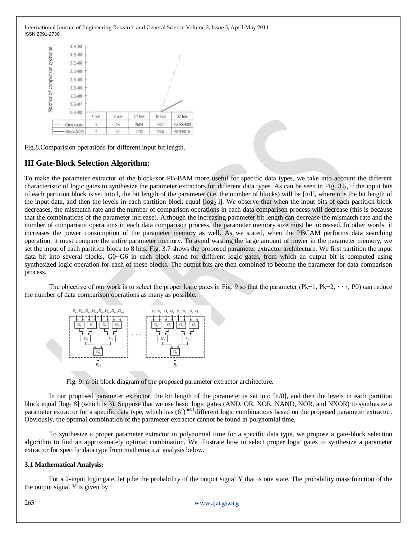

Fig.8.Comparision operations for different input bit length.

# **III Gate-Block Selection Algorithm:**

To make the parameter extractor of the block-xor PB-BAM more useful for specific data types, we take into account the different characteristic of logic gates to synthesize the parameter extractors for different data types. As can be seen in Fig. 3.5, if the input bits of each partition block is set into l, the bit length of the parameter (i.e. the number of blocks) will be [n/l], where n is the bit length of the input data, and then the levels in each partition block equal  $\lfloor \log_2 1 \rfloor$ . We observe that when the input bits of each partition block decreases, the mismatch rate and the number of comparison operations in each data comparison process will decrease (this is because that the combinations of the parameter increase). Although the increasing parameter bit length can decrease the mismatch rate and the number of comparison operations in each data comparison process, the parameter memory size must be increased. In other words, it increases the power consumption of the parameter memory as well. As we stated, when the PBCAM performs data searching operation, it must compare the entire parameter memory. To avoid wasting the large amount of power in the parameter memory, we set the input of each partition block to 8 bits. Fig. 3.7 shows the proposed parameter extractor architecture. We first partition the input data bit into several blocks, G0~G6 in each block stand for different logic gates, from which an output bit is computed using synthesized logic operation for each of these blocks. The output bits are then combined to become the parameter for data comparison process.

The objective of our work is to select the proper logic gates in Fig. 9 so that the parameter (Pk−1, Pk−2, · · ·, P0) can reduce the number of data comparison operations as many as possible.



Fig. 9: n-bit block diagram of the proposed parameter extractor architecture.

In our proposed parameter extractor, the bit length of the parameter is set into [n/8], and then the levels in each partition block equal  $\lceil \log_2 8 \rceil$  (which is 3). Suppose that we use basic logic gates (AND, OR, XOR, NAND, NOR, and NXOR) to synthesize a parameter extractor for a specific data type, which has  $(6^7)^{[n/8]}$  different logic combinations based on the proposed parameter extractor. Obviously, the optimal combination of the parameter extractor cannot be found in polynomial time.

To synthesize a proper parameter extractor in polynomial time for a specific data type, we propose a gate-block selection algorithm to find an approximately optimal combination. We illustrate how to select proper logic gates to synthesize a parameter extractor for specific data type from mathematical analysis below.

#### **3.1 Mathematical Analysis:**

For a 2-input logic gate, let p be the probability of the output signal Y that is one state. The probability mass function of the the output signal Y is given by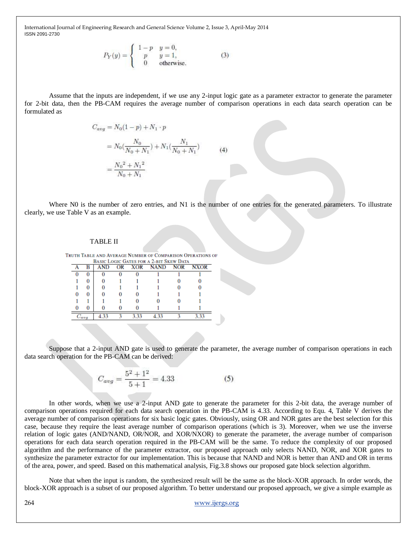$$
P_Y(y) = \begin{cases} 1-p & y=0, \\ p & y=1, \\ 0 & \text{otherwise.} \end{cases}
$$
 (3)

Assume that the inputs are independent, if we use any 2-input logic gate as a parameter extractor to generate the parameter for 2-bit data, then the PB-CAM requires the average number of comparison operations in each data search operation can be formulated as

$$
C_{avg} = N_0(1 - p) + N_1 \cdot p
$$
  
=  $N_0(\frac{N_0}{N_0 + N_1}) + N_1(\frac{N_1}{N_0 + N_1})$   
=  $\frac{N_0^2 + N_1^2}{N_0 + N_1}$  (4)

Where N0 is the number of zero entries, and N1 is the number of one entries for the generated parameters. To illustrate clearly, we use Table V as an example.

#### TABLE II

|            |  |  |                                         | TRUTH TABLE AND AVERAGE NUMBER OF COMPARISON OPERATIONS OF |
|------------|--|--|-----------------------------------------|------------------------------------------------------------|
|            |  |  | BASIC LOGIC GATES FOR A 2-BIT SKEW DATA |                                                            |
|            |  |  |                                         |                                                            |
|            |  |  |                                         |                                                            |
|            |  |  |                                         |                                                            |
|            |  |  |                                         |                                                            |
|            |  |  |                                         |                                                            |
|            |  |  |                                         |                                                            |
|            |  |  |                                         |                                                            |
| $\cup$ avg |  |  |                                         |                                                            |

Suppose that a 2-input AND gate is used to generate the parameter, the average number of comparison operations in each data search operation for the PB-CAM can be derived:

$$
C_{avg} = \frac{5^2 + 1^2}{5 + 1} = 4.33\tag{5}
$$

In other words, when we use a 2-input AND gate to generate the parameter for this 2-bit data, the average number of comparison operations required for each data search operation in the PB-CAM is 4.33. According to Equ. 4, Table V derives the average number of comparison operations for six basic logic gates. Obviously, using OR and NOR gates are the best selection for this case, because they require the least average number of comparison operations (which is 3). Moreover, when we use the inverse relation of logic gates (AND/NAND, OR/NOR, and XOR/NXOR) to generate the parameter, the average number of comparison operations for each data search operation required in the PB-CAM will be the same. To reduce the complexity of our proposed algorithm and the performance of the parameter extractor, our proposed approach only selects NAND, NOR, and XOR gates to synthesize the parameter extractor for our implementation. This is because that NAND and NOR is better than AND and OR in terms of the area, power, and speed. Based on this mathematical analysis, Fig.3.8 shows our proposed gate block selection algorithm.

Note that when the input is random, the synthesized result will be the same as the block-XOR approach. In order words, the block-XOR approach is a subset of our proposed algorithm. To better understand our proposed approach, we give a simple example as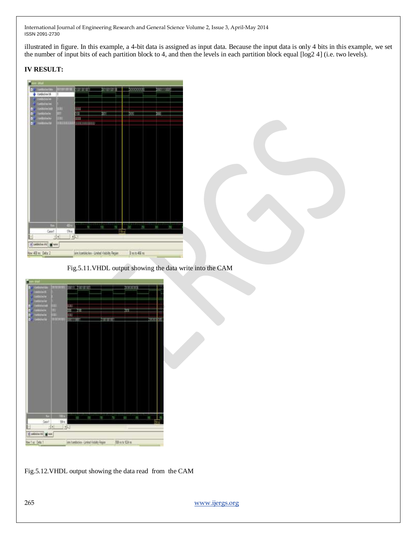illustrated in figure. In this example, a 4-bit data is assigned as input data. Because the input data is only 4 bits in this example, we set the number of input bits of each partition block to 4, and then the levels in each partition block equal [log2 4] (i.e. two levels).

# **IV RESULT:**



### Fig.5.11.VHDL output showing the data write into the CAM

|                           |              | <b>ALLE LITTLE CAR</b> |                  |             |                      |     |   |
|---------------------------|--------------|------------------------|------------------|-------------|----------------------|-----|---|
| a<br>m.                   |              |                        |                  |             | mana                 |     |   |
| <b>Bullet'er</b>          |              |                        |                  |             |                      |     |   |
| m                         |              |                        |                  |             |                      |     |   |
| 쨳<br>D                    | ı            | œ                      |                  |             |                      |     |   |
| n<br>O                    |              | п<br>JΨ                |                  |             | m                    |     |   |
| TO 7<br>R                 | ٩            | <b>BOYAGER</b>         | <b>TRANSPORT</b> |             |                      | asm | ø |
|                           |              |                        |                  |             |                      |     |   |
|                           |              |                        |                  |             |                      |     |   |
|                           |              |                        |                  |             |                      |     |   |
|                           |              |                        |                  |             |                      |     |   |
|                           |              |                        |                  |             |                      |     |   |
|                           |              |                        |                  |             |                      |     |   |
|                           |              |                        |                  |             |                      |     |   |
|                           |              |                        |                  |             |                      |     |   |
|                           |              |                        |                  |             |                      |     |   |
|                           |              |                        |                  |             |                      |     |   |
|                           |              |                        |                  |             |                      |     |   |
|                           |              |                        |                  |             |                      |     |   |
|                           |              |                        |                  |             |                      |     |   |
|                           |              |                        |                  |             |                      |     |   |
|                           |              |                        |                  |             |                      |     |   |
|                           |              |                        |                  |             |                      |     |   |
|                           |              |                        |                  |             |                      |     |   |
|                           |              |                        |                  |             |                      |     |   |
|                           |              |                        |                  |             |                      |     |   |
|                           |              |                        |                  |             |                      |     |   |
|                           |              |                        |                  |             |                      |     |   |
| п                         | 70 k         |                        | 茂                | 171111<br>N | 111111111<br>E5<br>找 | π   |   |
| Cast                      | 辦形           |                        |                  |             |                      |     |   |
| н                         | ï<br>$  +  $ |                        |                  |             |                      |     |   |
|                           |              |                        |                  |             |                      |     |   |
|                           |              |                        |                  |             |                      |     |   |
| <b>Microbook of Bread</b> |              |                        |                  |             |                      |     |   |

Fig.5.12.VHDL output showing the data read from the CAM

265 [www.ijergs.org](http://www.ijergs.org/)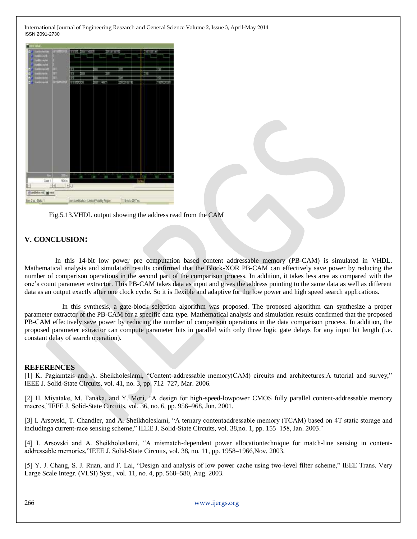| activity (a)<br>a          | <b>Hornoc</b> | <b>THEORI</b><br><b>TENDS</b>              |               | 06000000000    |                 | <b>BUNGHIOU</b> |                    |
|----------------------------|---------------|--------------------------------------------|---------------|----------------|-----------------|-----------------|--------------------|
| <b>Street</b>              |               |                                            |               |                |                 |                 |                    |
| district<br><b>History</b> |               |                                            |               |                |                 |                 |                    |
| ma<br>o                    |               | п                                          |               |                | 面               |                 | GH                 |
| ä                          | in<br>Times   | п                                          |               | ūΤ             |                 | m               |                    |
| H<br><b>MODERN</b>         |               | Ħ                                          |               |                | 萷               | ٠               |                    |
| <b>Comment</b><br>a        |               | THERESON                                   | <b>HIRODO</b> |                | <b>CONTINUE</b> | ٠               | <b>BILARY ARTS</b> |
| <b>Diff</b><br>Cont1       | tiltin        | m li                                       | 1300          | <b>SECTION</b> | 盗               | 1171711<br>経験   | Tito)<br>HK.       |
| 비리                         |               |                                            |               |                |                 |                 |                    |
| Finebook to Ment           |               | 収                                          |               |                |                 |                 |                    |
| Nellis Data 1              |               | Inn Icontriccio - Limited Viability Region |               |                | 田 THE GENERITY  |                 |                    |

Fig.5.13.VHDL output showing the address read from the CAM

# **V. CONCLUSION:**

 In this 14-bit low power pre computation–based content addressable memory (PB-CAM) is simulated in VHDL. Mathematical analysis and simulation results confirmed that the Block-XOR PB-CAM can effectively save power by reducing the number of comparison operations in the second part of the comparison process. In addition, it takes less area as compared with the one"s count parameter extractor. This PB-CAM takes data as input and gives the address pointing to the same data as well as different data as an output exactly after one clock cycle. So it is flexible and adaptive for the low power and high speed search applications.

 In this synthesis, a gate-block selection algorithm was proposed. The proposed algorithm can synthesize a proper parameter extractor of the PB-CAM for a specific data type. Mathematical analysis and simulation results confirmed that the proposed PB-CAM effectively save power by reducing the number of comparison operations in the data comparison process. In addition, the proposed parameter extractor can compute parameter bits in parallel with only three logic gate delays for any input bit length (i.e. constant delay of search operation).

#### **REFERENCES**

[1] K. Pagiamtzis and A. Sheikholeslami, "Content-addressable memory(CAM) circuits and architectures:A tutorial and survey," IEEE J. Solid-State Circuits, vol. 41, no. 3, pp. 712–727, Mar. 2006.

[2] H. Miyatake, M. Tanaka, and Y. Mori, "A design for high-speed-lowpower CMOS fully parallel content-addressable memory macros,"IEEE J. Solid-State Circuits, vol. 36, no. 6, pp. 956–968, Jun. 2001.

[3] I. Arsovski, T. Chandler, and A. Sheikholeslami, "A ternary contentaddressable memory (TCAM) based on 4T static storage and includinga current-race sensing scheme," IEEE J. Solid-State Circuits, vol. 38,no. 1, pp. 155–158, Jan. 2003."

[4] I. Arsovski and A. Sheikholeslami, "A mismatch-dependent power allocationtechnique for match-line sensing in contentaddressable memories,"IEEE J. Solid-State Circuits, vol. 38, no. 11, pp. 1958–1966,Nov. 2003.

[5] Y. J. Chang, S. J. Ruan, and F. Lai, "Design and analysis of low power cache using two-level filter scheme," IEEE Trans. Very Large Scale Integr. (VLSI) Syst., vol. 11, no. 4, pp. 568–580, Aug. 2003.